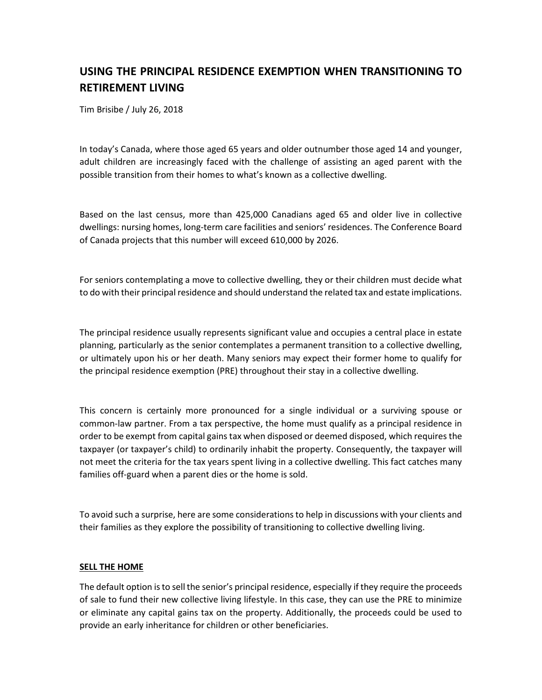# **USING THE PRINCIPAL RESIDENCE EXEMPTION WHEN TRANSITIONING TO RETIREMENT LIVING**

Tim Brisibe / July 26, 2018

In today's Canada, where those aged 65 years and older outnumber those aged 14 and younger, adult children are increasingly faced with the challenge of assisting an aged parent with the possible transition from their homes to what's known as a collective dwelling.

Based on the last census, more than 425,000 Canadians aged 65 and older live in collective dwellings: nursing homes, long-term care facilities and seniors' residences. The Conference Board of Canada projects that this number will exceed 610,000 by 2026.

For seniors contemplating a move to collective dwelling, they or their children must decide what to do with their principal residence and should understand the related tax and estate implications.

The principal residence usually represents significant value and occupies a central place in estate planning, particularly as the senior contemplates a permanent transition to a collective dwelling, or ultimately upon his or her death. Many seniors may expect their former home to qualify for the principal residence exemption (PRE) throughout their stay in a collective dwelling.

This concern is certainly more pronounced for a single individual or a surviving spouse or common-law partner. From a tax perspective, the home must qualify as a principal residence in order to be exempt from capital gains tax when disposed or deemed disposed, which requires the taxpayer (or taxpayer's child) to ordinarily inhabit the property. Consequently, the taxpayer will not meet the criteria for the tax years spent living in a collective dwelling. This fact catches many families off-guard when a parent dies or the home is sold.

To avoid such a surprise, here are some considerations to help in discussions with your clients and their families as they explore the possibility of transitioning to collective dwelling living.

#### **SELL THE HOME**

The default option is to sell the senior's principal residence, especially if they require the proceeds of sale to fund their new collective living lifestyle. In this case, they can use the PRE to minimize or eliminate any capital gains tax on the property. Additionally, the proceeds could be used to provide an early inheritance for children or other beneficiaries.